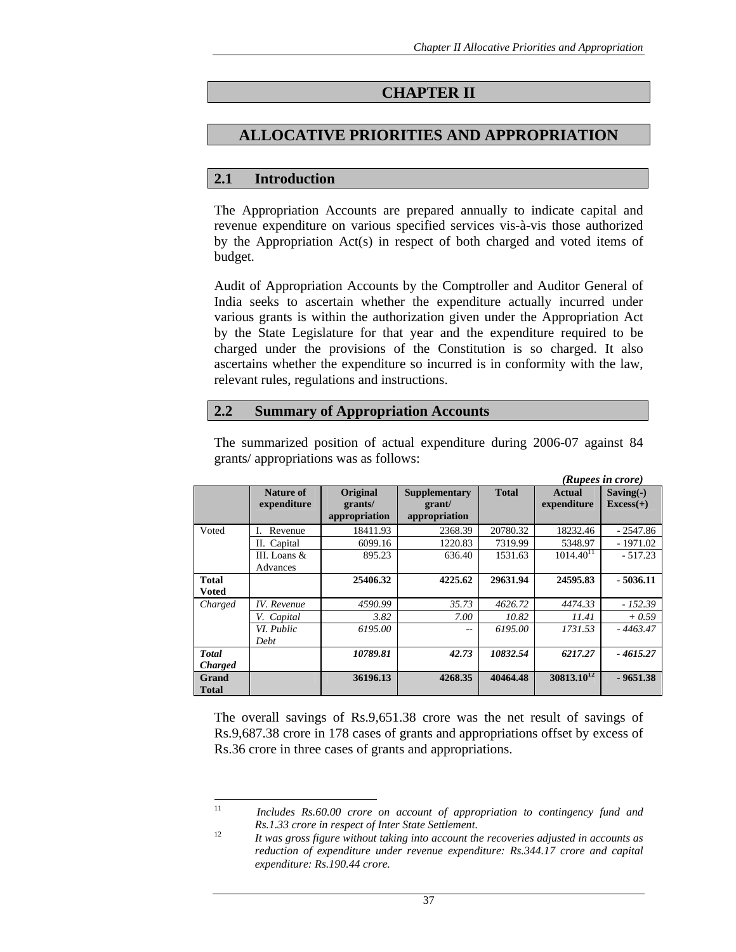# **CHAPTER II**

# **ALLOCATIVE PRIORITIES AND APPROPRIATION**

## **2.1 Introduction**

The Appropriation Accounts are prepared annually to indicate capital and revenue expenditure on various specified services vis-à-vis those authorized by the Appropriation Act(s) in respect of both charged and voted items of budget.

Audit of Appropriation Accounts by the Comptroller and Auditor General of India seeks to ascertain whether the expenditure actually incurred under various grants is within the authorization given under the Appropriation Act by the State Legislature for that year and the expenditure required to be charged under the provisions of the Constitution is so charged. It also ascertains whether the expenditure so incurred is in conformity with the law, relevant rules, regulations and instructions.

## **2.2 Summary of Appropriation Accounts**

|                                |                             |                                      |                                                 |              |                              | (Rupees in crore)          |
|--------------------------------|-----------------------------|--------------------------------------|-------------------------------------------------|--------------|------------------------------|----------------------------|
|                                | Nature of<br>expenditure    | Original<br>grants/<br>appropriation | <b>Supplementary</b><br>grant/<br>appropriation | <b>Total</b> | <b>Actual</b><br>expenditure | $Saving(-)$<br>$Excess(+)$ |
| Voted                          | Revenue                     | 18411.93                             | 2368.39                                         | 20780.32     | 18232.46                     | $-2547.86$                 |
|                                | II. Capital                 | 6099.16                              | 1220.83                                         | 7319.99      | 5348.97                      | $-1971.02$                 |
|                                | III. Loans $\&$<br>Advances | 895.23                               | 636.40                                          | 1531.63      | $1014.40^{11}$               | $-517.23$                  |
| Total<br>Voted                 |                             | 25406.32                             | 4225.62                                         | 29631.94     | 24595.83                     | $-5036.11$                 |
| Charged                        | <b>IV.</b> Revenue          | 4590.99                              | 35.73                                           | 4626.72      | 4474.33                      | $-152.39$                  |
|                                | V. Capital                  | 3.82                                 | 7.00                                            | 10.82        | 11.41                        | $+0.59$                    |
|                                | VI. Public<br>Debt          | 6195.00                              | --                                              | 6195.00      | 1731.53                      | $-4463.47$                 |
| <b>Total</b><br><b>Charged</b> |                             | 10789.81                             | 42.73                                           | 10832.54     | 6217.27                      | $-4615.27$                 |
| Grand<br><b>Total</b>          |                             | 36196.13                             | 4268.35                                         | 40464.48     | $30813.10^{12}$              | $-9651.38$                 |

The summarized position of actual expenditure during 2006-07 against 84 grants/ appropriations was as follows:

The overall savings of Rs.9,651.38 crore was the net result of savings of Rs.9,687.38 crore in 178 cases of grants and appropriations offset by excess of Rs.36 crore in three cases of grants and appropriations.

<sup>11</sup> 11 *Includes Rs.60.00 crore on account of appropriation to contingency fund and Rs.1.33 crore in respect of Inter State Settlement.* 12 *It was gross figure without taking into account the recoveries adjusted in accounts as* 

*reduction of expenditure under revenue expenditure: Rs.344.17 crore and capital expenditure: Rs.190.44 crore.*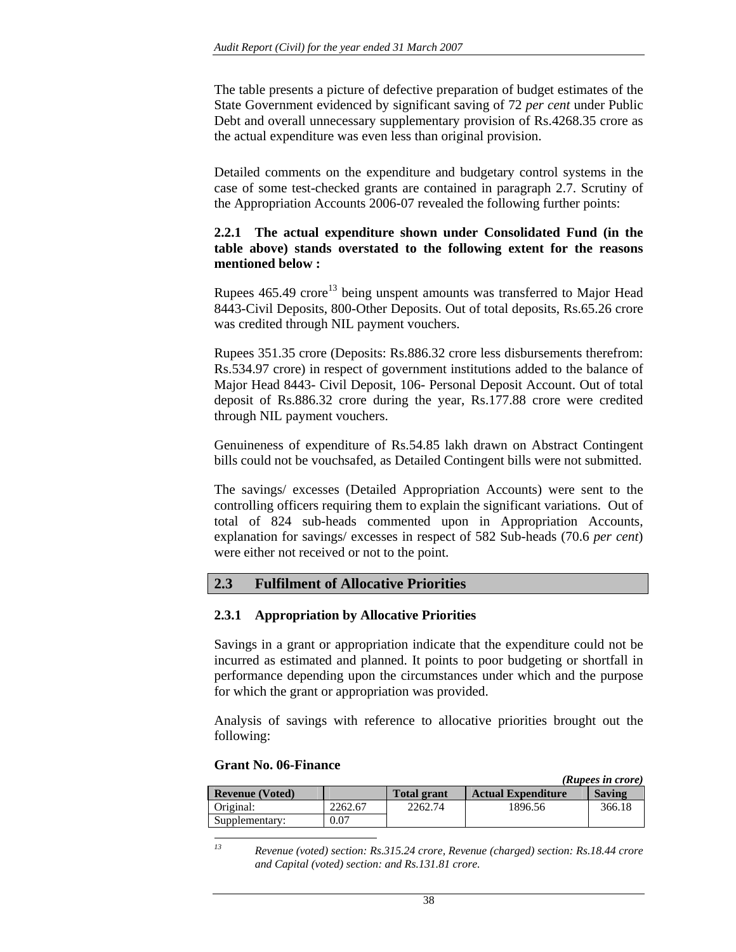The table presents a picture of defective preparation of budget estimates of the State Government evidenced by significant saving of 72 *per cent* under Public Debt and overall unnecessary supplementary provision of Rs.4268.35 crore as the actual expenditure was even less than original provision.

Detailed comments on the expenditure and budgetary control systems in the case of some test-checked grants are contained in paragraph 2.7. Scrutiny of the Appropriation Accounts 2006-07 revealed the following further points:

#### **2.2.1 The actual expenditure shown under Consolidated Fund (in the table above) stands overstated to the following extent for the reasons mentioned below :**

Rupees  $465.49$  crore<sup>13</sup> being unspent amounts was transferred to Major Head 8443-Civil Deposits, 800-Other Deposits. Out of total deposits, Rs.65.26 crore was credited through NIL payment vouchers.

Rupees 351.35 crore (Deposits: Rs.886.32 crore less disbursements therefrom: Rs.534.97 crore) in respect of government institutions added to the balance of Major Head 8443- Civil Deposit, 106- Personal Deposit Account. Out of total deposit of Rs.886.32 crore during the year, Rs.177.88 crore were credited through NIL payment vouchers.

Genuineness of expenditure of Rs.54.85 lakh drawn on Abstract Contingent bills could not be vouchsafed, as Detailed Contingent bills were not submitted.

The savings/ excesses (Detailed Appropriation Accounts) were sent to the controlling officers requiring them to explain the significant variations. Out of total of 824 sub-heads commented upon in Appropriation Accounts, explanation for savings/ excesses in respect of 582 Sub-heads (70.6 *per cent*) were either not received or not to the point.

## **2.3 Fulfilment of Allocative Priorities**

#### **2.3.1 Appropriation by Allocative Priorities**

Savings in a grant or appropriation indicate that the expenditure could not be incurred as estimated and planned. It points to poor budgeting or shortfall in performance depending upon the circumstances under which and the purpose for which the grant or appropriation was provided.

Analysis of savings with reference to allocative priorities brought out the following:

#### **Grant No. 06-Finance**

|                        |         |                    |                           | Auvees in crore) |
|------------------------|---------|--------------------|---------------------------|------------------|
| <b>Revenue (Voted)</b> |         | <b>Total grant</b> | <b>Actual Expenditure</b> | <b>Saving</b>    |
| Original:              | 2262.67 | 2262.74            | 1896.56                   | 366.18           |
| Supplementary:         | 0.07    |                    |                           |                  |
|                        |         |                    |                           |                  |

 *(Rupees in crore)*

 $13$ *13 Revenue (voted) section: Rs.315.24 crore, Revenue (charged) section: Rs.18.44 crore and Capital (voted) section: and Rs.131.81 crore.*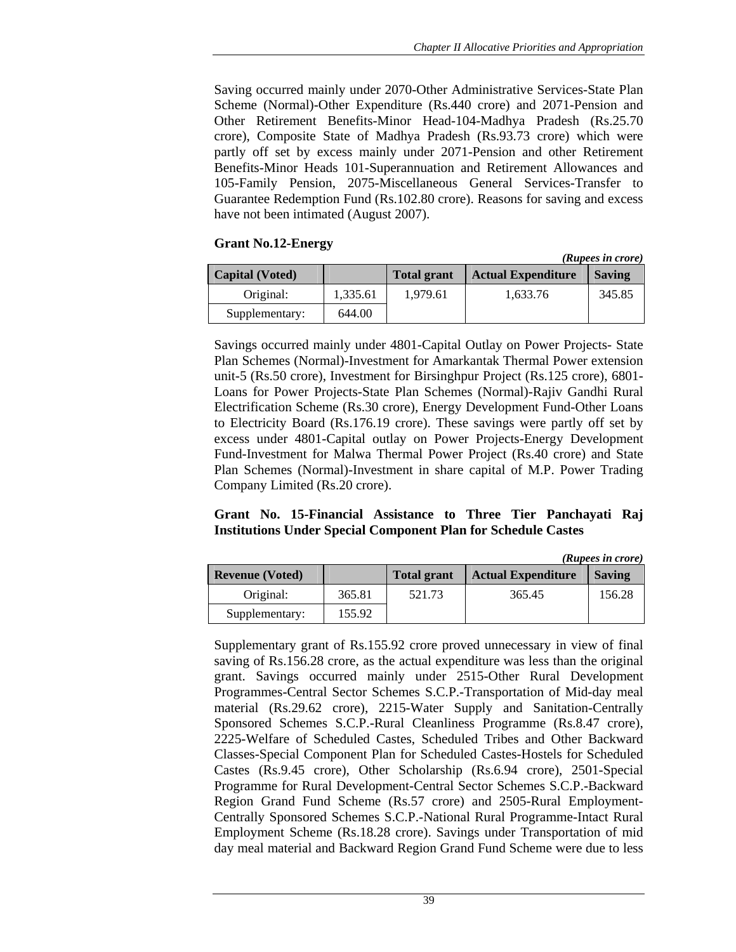Saving occurred mainly under 2070-Other Administrative Services-State Plan Scheme (Normal)-Other Expenditure (Rs.440 crore) and 2071-Pension and Other Retirement Benefits-Minor Head-104-Madhya Pradesh (Rs.25.70 crore), Composite State of Madhya Pradesh (Rs.93.73 crore) which were partly off set by excess mainly under 2071-Pension and other Retirement Benefits-Minor Heads 101-Superannuation and Retirement Allowances and 105-Family Pension, 2075-Miscellaneous General Services-Transfer to Guarantee Redemption Fund (Rs.102.80 crore). Reasons for saving and excess have not been intimated (August 2007).

#### **Grant No.12-Energy**

|                        |          |                    |                           | ( <i>Rupees in crore</i> ) |
|------------------------|----------|--------------------|---------------------------|----------------------------|
| <b>Capital</b> (Voted) |          | <b>Total grant</b> | <b>Actual Expenditure</b> | <b>Saving</b>              |
| Original:              | 1.335.61 | 1.979.61           | 1,633.76                  | 345.85                     |
| Supplementary:         | 644.00   |                    |                           |                            |

Savings occurred mainly under 4801-Capital Outlay on Power Projects- State Plan Schemes (Normal)-Investment for Amarkantak Thermal Power extension unit-5 (Rs.50 crore), Investment for Birsinghpur Project (Rs.125 crore), 6801- Loans for Power Projects-State Plan Schemes (Normal)-Rajiv Gandhi Rural Electrification Scheme (Rs.30 crore), Energy Development Fund-Other Loans to Electricity Board (Rs.176.19 crore). These savings were partly off set by excess under 4801-Capital outlay on Power Projects-Energy Development Fund-Investment for Malwa Thermal Power Project (Rs.40 crore) and State Plan Schemes (Normal)-Investment in share capital of M.P. Power Trading Company Limited (Rs.20 crore).

#### **Grant No. 15-Financial Assistance to Three Tier Panchayati Raj Institutions Under Special Component Plan for Schedule Castes**

|                        |        |                    |                           | (Ruptes in troie) |
|------------------------|--------|--------------------|---------------------------|-------------------|
| <b>Revenue (Voted)</b> |        | <b>Total grant</b> | <b>Actual Expenditure</b> | <b>Saving</b>     |
| Original:              | 365.81 | 521.73             | 365.45                    | 156.28            |
| Supplementary:         | 155.92 |                    |                           |                   |

Supplementary grant of Rs.155.92 crore proved unnecessary in view of final saving of Rs.156.28 crore, as the actual expenditure was less than the original grant. Savings occurred mainly under 2515-Other Rural Development Programmes-Central Sector Schemes S.C.P.-Transportation of Mid-day meal material (Rs.29.62 crore), 2215-Water Supply and Sanitation-Centrally Sponsored Schemes S.C.P.-Rural Cleanliness Programme (Rs.8.47 crore), 2225-Welfare of Scheduled Castes, Scheduled Tribes and Other Backward Classes-Special Component Plan for Scheduled Castes-Hostels for Scheduled Castes (Rs.9.45 crore), Other Scholarship (Rs.6.94 crore), 2501-Special Programme for Rural Development-Central Sector Schemes S.C.P.-Backward Region Grand Fund Scheme (Rs.57 crore) and 2505-Rural Employment-Centrally Sponsored Schemes S.C.P.-National Rural Programme-Intact Rural Employment Scheme (Rs.18.28 crore). Savings under Transportation of mid day meal material and Backward Region Grand Fund Scheme were due to less

*(Rupees in crore)* 

*(Rupees in crore)*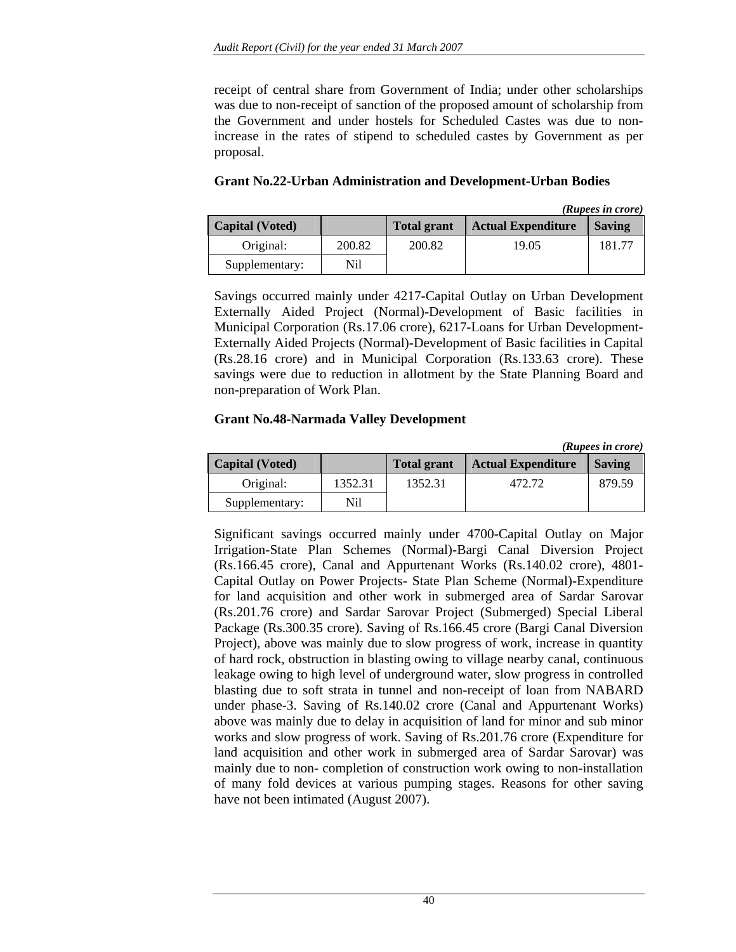receipt of central share from Government of India; under other scholarships was due to non-receipt of sanction of the proposed amount of scholarship from the Government and under hostels for Scheduled Castes was due to nonincrease in the rates of stipend to scheduled castes by Government as per proposal.

|                        |        |                    |                           | (Rupees in crore) |
|------------------------|--------|--------------------|---------------------------|-------------------|
| <b>Capital</b> (Voted) |        | <b>Total grant</b> | <b>Actual Expenditure</b> | <b>Saving</b>     |
| Original:              | 200.82 | 200.82             | 19.05                     | 181.77            |
| Supplementary:         | Nil    |                    |                           |                   |

**Grant No.22-Urban Administration and Development-Urban Bodies** 

Savings occurred mainly under 4217-Capital Outlay on Urban Development Externally Aided Project (Normal)-Development of Basic facilities in Municipal Corporation (Rs.17.06 crore), 6217-Loans for Urban Development-Externally Aided Projects (Normal)-Development of Basic facilities in Capital (Rs.28.16 crore) and in Municipal Corporation (Rs.133.63 crore). These savings were due to reduction in allotment by the State Planning Board and non-preparation of Work Plan.

#### **Grant No.48-Narmada Valley Development**

|                        |         |                    |                           | (Rupees in crore) |
|------------------------|---------|--------------------|---------------------------|-------------------|
| <b>Capital (Voted)</b> |         | <b>Total grant</b> | <b>Actual Expenditure</b> | <b>Saving</b>     |
| Original:              | 1352.31 | 1352.31            | 472.72                    | 879.59            |
| Supplementary:         | Nil     |                    |                           |                   |

Significant savings occurred mainly under 4700-Capital Outlay on Major Irrigation-State Plan Schemes (Normal)-Bargi Canal Diversion Project (Rs.166.45 crore), Canal and Appurtenant Works (Rs.140.02 crore), 4801- Capital Outlay on Power Projects- State Plan Scheme (Normal)-Expenditure for land acquisition and other work in submerged area of Sardar Sarovar (Rs.201.76 crore) and Sardar Sarovar Project (Submerged) Special Liberal Package (Rs.300.35 crore). Saving of Rs.166.45 crore (Bargi Canal Diversion Project), above was mainly due to slow progress of work, increase in quantity of hard rock, obstruction in blasting owing to village nearby canal, continuous leakage owing to high level of underground water, slow progress in controlled blasting due to soft strata in tunnel and non-receipt of loan from NABARD under phase-3. Saving of Rs.140.02 crore (Canal and Appurtenant Works) above was mainly due to delay in acquisition of land for minor and sub minor works and slow progress of work. Saving of Rs.201.76 crore (Expenditure for land acquisition and other work in submerged area of Sardar Sarovar) was mainly due to non- completion of construction work owing to non-installation of many fold devices at various pumping stages. Reasons for other saving have not been intimated (August 2007).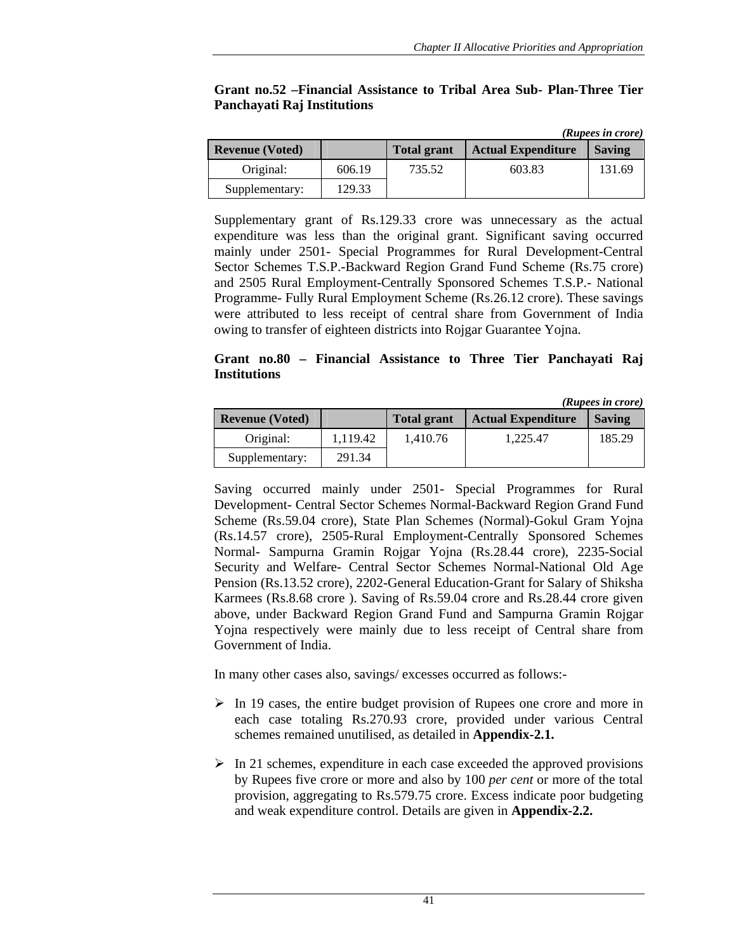|                        |        |                    |                           | (Rupees in crore) |
|------------------------|--------|--------------------|---------------------------|-------------------|
| <b>Revenue (Voted)</b> |        | <b>Total grant</b> | <b>Actual Expenditure</b> | <b>Saving</b>     |
| Original:              | 606.19 | 735.52             | 603.83                    | 131.69            |
| Supplementary:         | 129.33 |                    |                           |                   |

## **Grant no.52 –Financial Assistance to Tribal Area Sub- Plan-Three Tier Panchayati Raj Institutions**

Supplementary grant of Rs.129.33 crore was unnecessary as the actual expenditure was less than the original grant. Significant saving occurred mainly under 2501- Special Programmes for Rural Development-Central Sector Schemes T.S.P.-Backward Region Grand Fund Scheme (Rs.75 crore) and 2505 Rural Employment-Centrally Sponsored Schemes T.S.P.- National Programme- Fully Rural Employment Scheme (Rs.26.12 crore). These savings were attributed to less receipt of central share from Government of India owing to transfer of eighteen districts into Rojgar Guarantee Yojna.

#### **Grant no.80 – Financial Assistance to Three Tier Panchayati Raj Institutions**

|                        |          |                    |                           | (Rupees in crore) |
|------------------------|----------|--------------------|---------------------------|-------------------|
| <b>Revenue</b> (Voted) |          | <b>Total grant</b> | <b>Actual Expenditure</b> | <b>Saving</b>     |
| Original:              | 1.119.42 | 1.410.76           | 1.225.47                  | 185.29            |
| Supplementary:         | 291.34   |                    |                           |                   |

Saving occurred mainly under 2501- Special Programmes for Rural Development- Central Sector Schemes Normal-Backward Region Grand Fund Scheme (Rs.59.04 crore), State Plan Schemes (Normal)-Gokul Gram Yojna (Rs.14.57 crore), 2505-Rural Employment-Centrally Sponsored Schemes Normal- Sampurna Gramin Rojgar Yojna (Rs.28.44 crore), 2235-Social Security and Welfare- Central Sector Schemes Normal-National Old Age Pension (Rs.13.52 crore), 2202-General Education-Grant for Salary of Shiksha Karmees (Rs.8.68 crore ). Saving of Rs.59.04 crore and Rs.28.44 crore given above, under Backward Region Grand Fund and Sampurna Gramin Rojgar Yojna respectively were mainly due to less receipt of Central share from Government of India.

In many other cases also, savings/ excesses occurred as follows:-

- $\triangleright$  In 19 cases, the entire budget provision of Rupees one crore and more in each case totaling Rs.270.93 crore, provided under various Central schemes remained unutilised, as detailed in **Appendix-2.1.**
- $\triangleright$  In 21 schemes, expenditure in each case exceeded the approved provisions by Rupees five crore or more and also by 100 *per cent* or more of the total provision, aggregating to Rs.579.75 crore. Excess indicate poor budgeting and weak expenditure control. Details are given in **Appendix-2.2.**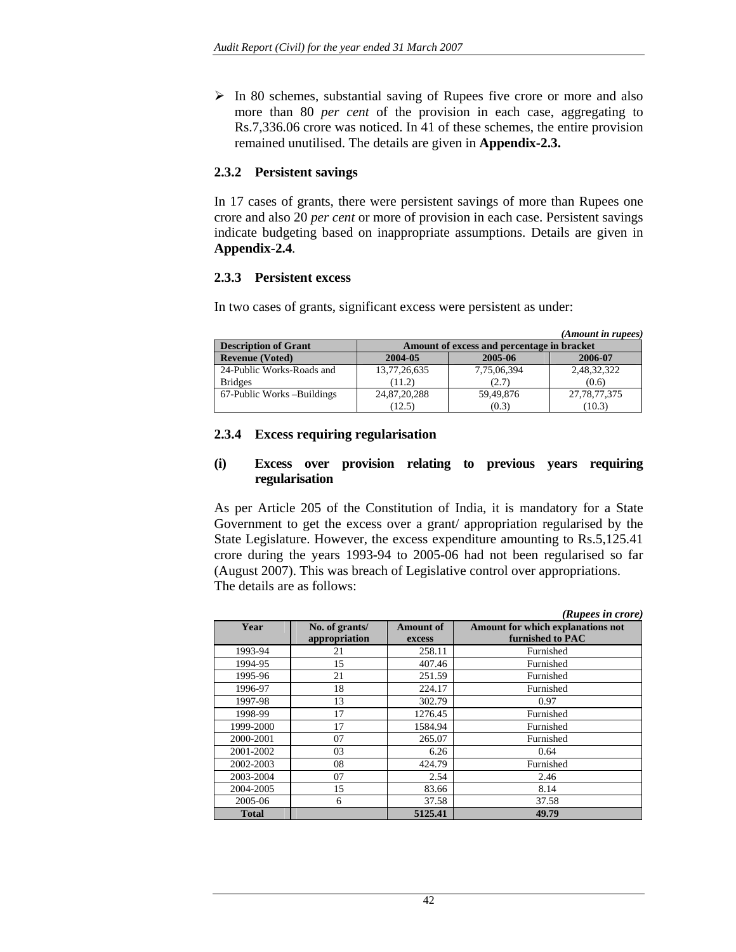$\triangleright$  In 80 schemes, substantial saving of Rupees five crore or more and also more than 80 *per cent* of the provision in each case, aggregating to Rs.7,336.06 crore was noticed. In 41 of these schemes, the entire provision remained unutilised. The details are given in **Appendix-2.3.**

#### **2.3.2 Persistent savings**

In 17 cases of grants, there were persistent savings of more than Rupees one crore and also 20 *per cent* or more of provision in each case. Persistent savings indicate budgeting based on inappropriate assumptions. Details are given in **Appendix-2.4***.*

#### **2.3.3 Persistent excess**

In two cases of grants, significant excess were persistent as under:

|                             |                                            |             | (Amount in rupees) |  |  |  |
|-----------------------------|--------------------------------------------|-------------|--------------------|--|--|--|
| <b>Description of Grant</b> | Amount of excess and percentage in bracket |             |                    |  |  |  |
| <b>Revenue (Voted)</b>      | 2004-05                                    | 2005-06     | 2006-07            |  |  |  |
| 24-Public Works-Roads and   | 13,77,26,635                               | 7,75,06,394 | 2,48,32,322        |  |  |  |
| <b>Bridges</b>              | (11.2)                                     | (2.7)       | (0.6)              |  |  |  |
| 67-Public Works –Buildings  | 24,87,20,288                               | 59,49,876   | 27, 78, 77, 375    |  |  |  |
|                             | (12.5)                                     | (0.3)       | (10.3)             |  |  |  |

#### **2.3.4 Excess requiring regularisation**

#### **(i) Excess over provision relating to previous years requiring regularisation**

As per Article 205 of the Constitution of India, it is mandatory for a State Government to get the excess over a grant/ appropriation regularised by the State Legislature. However, the excess expenditure amounting to Rs.5,125.41 crore during the years 1993-94 to 2005-06 had not been regularised so far (August 2007). This was breach of Legislative control over appropriations. The details are as follows:

|              |                                 |                            | (Rupees in crore)                                     |
|--------------|---------------------------------|----------------------------|-------------------------------------------------------|
| Year         | No. of grants/<br>appropriation | <b>Amount of</b><br>excess | Amount for which explanations not<br>furnished to PAC |
| 1993-94      | 21                              | 258.11                     | Furnished                                             |
| 1994-95      | 15                              | 407.46                     | Furnished                                             |
| 1995-96      | 21                              | 251.59                     | Furnished                                             |
| 1996-97      | 18                              | 224.17                     | Furnished                                             |
| 1997-98      | 13                              | 302.79                     | 0.97                                                  |
| 1998-99      | 17                              | 1276.45                    | Furnished                                             |
| 1999-2000    | 17                              | 1584.94                    | Furnished                                             |
| 2000-2001    | 07                              | 265.07                     | Furnished                                             |
| 2001-2002    | 03                              | 6.26                       | 0.64                                                  |
| 2002-2003    | 08                              | 424.79                     | Furnished                                             |
| 2003-2004    | 07                              | 2.54                       | 2.46                                                  |
| 2004-2005    | 15                              | 83.66                      | 8.14                                                  |
| 2005-06      | 6                               | 37.58                      | 37.58                                                 |
| <b>Total</b> |                                 | 5125.41                    | 49.79                                                 |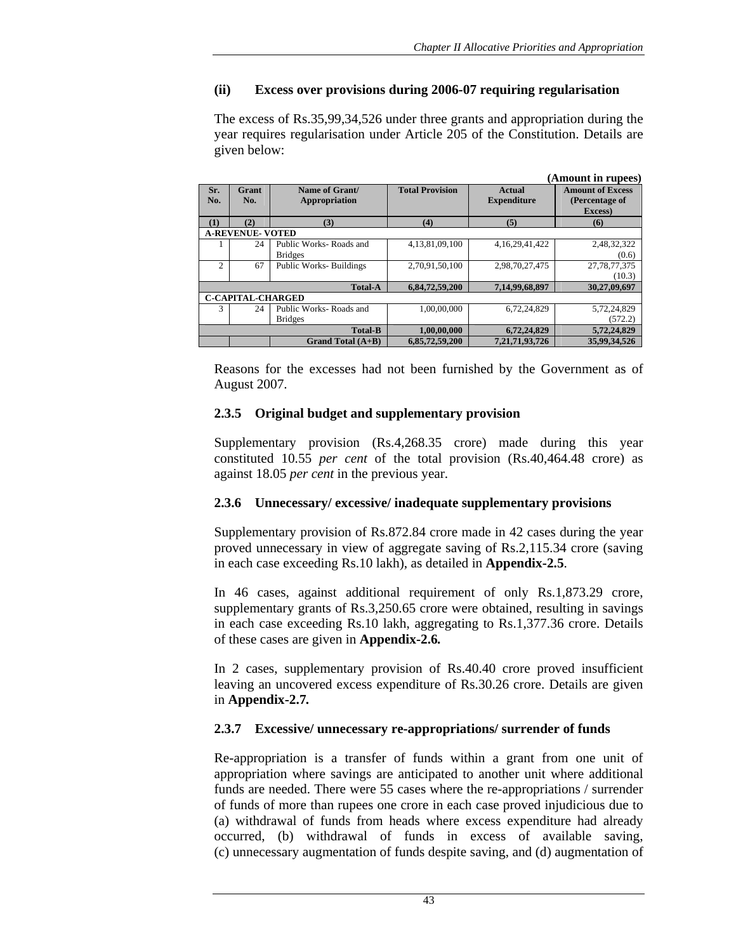# **(ii) Excess over provisions during 2006-07 requiring regularisation**

The excess of Rs.35,99,34,526 under three grants and appropriation during the year requires regularisation under Article 205 of the Constitution. Details are given below:

|            |                                                             |                                 |                        |                              | (Amount in rupees)                                   |
|------------|-------------------------------------------------------------|---------------------------------|------------------------|------------------------------|------------------------------------------------------|
| Sr.<br>No. | Grant<br>No.                                                | Name of Grant/<br>Appropriation | <b>Total Provision</b> | Actual<br><b>Expenditure</b> | <b>Amount of Excess</b><br>(Percentage of<br>Excess) |
| (1)        | (2)                                                         | (3)                             | (4)                    | (5)                          | (6)                                                  |
|            | <b>A-REVENUE- VOTED</b>                                     |                                 |                        |                              |                                                      |
|            | 24                                                          | Public Works-Roads and          | 4,13,81,09,100         | 4, 16, 29, 41, 422           | 2,48,32,322                                          |
|            |                                                             | <b>Bridges</b>                  |                        |                              | (0.6)                                                |
| 2          | 67                                                          | <b>Public Works-Buildings</b>   | 2,70,91,50,100         | 2,98,70,27,475               | 27, 78, 77, 375                                      |
|            |                                                             |                                 |                        |                              | (10.3)                                               |
|            |                                                             | <b>Total-A</b>                  | 6,84,72,59,200         | 7,14,99,68,897               | 30.27.09.697                                         |
|            | <b>C-CAPITAL-CHARGED</b>                                    |                                 |                        |                              |                                                      |
| 3          | 24                                                          | Public Works-Roads and          | 1.00.00.000            | 6,72,24,829                  | 5,72,24,829                                          |
|            |                                                             | <b>Bridges</b>                  |                        |                              | (572.2)                                              |
|            | <b>Total-B</b><br>1,00,00,000<br>6,72,24,829<br>5,72,24,829 |                                 |                        |                              |                                                      |
|            |                                                             | Grand Total $(A+B)$             | 6,85,72,59,200         | 7,21,71,93,726               | 35,99,34,526                                         |

Reasons for the excesses had not been furnished by the Government as of August 2007.

## **2.3.5 Original budget and supplementary provision**

Supplementary provision (Rs.4,268.35 crore) made during this year constituted 10.55 *per cent* of the total provision (Rs.40,464.48 crore) as against 18.05 *per cent* in the previous year.

## **2.3.6 Unnecessary/ excessive/ inadequate supplementary provisions**

Supplementary provision of Rs.872.84 crore made in 42 cases during the year proved unnecessary in view of aggregate saving of Rs.2,115.34 crore (saving in each case exceeding Rs.10 lakh), as detailed in **Appendix-2.5**.

In 46 cases, against additional requirement of only Rs.1,873.29 crore, supplementary grants of Rs.3,250.65 crore were obtained, resulting in savings in each case exceeding Rs.10 lakh, aggregating to Rs.1,377.36 crore. Details of these cases are given in **Appendix-2.6***.* 

In 2 cases, supplementary provision of Rs.40.40 crore proved insufficient leaving an uncovered excess expenditure of Rs.30.26 crore. Details are given in **Appendix-2.7***.*

## **2.3.7 Excessive/ unnecessary re-appropriations/ surrender of funds**

Re-appropriation is a transfer of funds within a grant from one unit of appropriation where savings are anticipated to another unit where additional funds are needed. There were 55 cases where the re-appropriations / surrender of funds of more than rupees one crore in each case proved injudicious due to (a) withdrawal of funds from heads where excess expenditure had already occurred, (b) withdrawal of funds in excess of available saving, (c) unnecessary augmentation of funds despite saving, and (d) augmentation of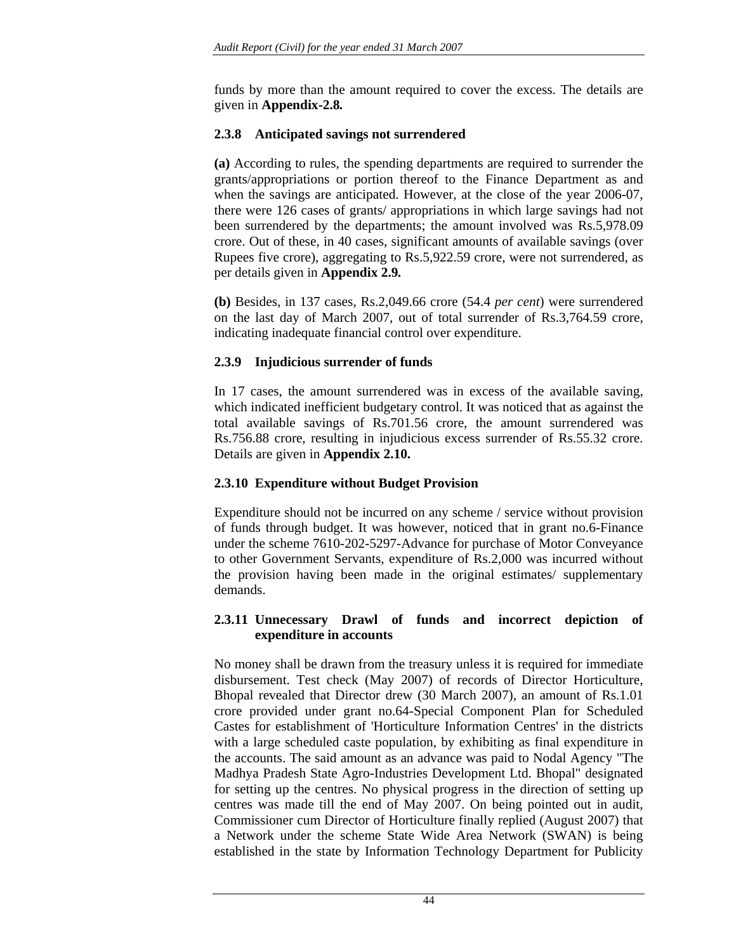funds by more than the amount required to cover the excess. The details are given in **Appendix-2.8***.*

### **2.3.8 Anticipated savings not surrendered**

**(a)** According to rules, the spending departments are required to surrender the grants/appropriations or portion thereof to the Finance Department as and when the savings are anticipated. However, at the close of the year 2006-07, there were 126 cases of grants/ appropriations in which large savings had not been surrendered by the departments; the amount involved was Rs.5,978.09 crore. Out of these, in 40 cases, significant amounts of available savings (over Rupees five crore), aggregating to Rs.5,922.59 crore, were not surrendered, as per details given in **Appendix 2.9***.*

**(b)** Besides, in 137 cases, Rs.2,049.66 crore (54.4 *per cent*) were surrendered on the last day of March 2007, out of total surrender of Rs.3,764.59 crore, indicating inadequate financial control over expenditure.

### **2.3.9 Injudicious surrender of funds**

In 17 cases, the amount surrendered was in excess of the available saving, which indicated inefficient budgetary control. It was noticed that as against the total available savings of Rs.701.56 crore, the amount surrendered was Rs.756.88 crore, resulting in injudicious excess surrender of Rs.55.32 crore. Details are given in **Appendix 2.10.**

### **2.3.10 Expenditure without Budget Provision**

Expenditure should not be incurred on any scheme / service without provision of funds through budget. It was however, noticed that in grant no.6-Finance under the scheme 7610-202-5297-Advance for purchase of Motor Conveyance to other Government Servants, expenditure of Rs.2,000 was incurred without the provision having been made in the original estimates/ supplementary demands.

### **2.3.11 Unnecessary Drawl of funds and incorrect depiction of expenditure in accounts**

No money shall be drawn from the treasury unless it is required for immediate disbursement. Test check (May 2007) of records of Director Horticulture, Bhopal revealed that Director drew (30 March 2007), an amount of Rs.1.01 crore provided under grant no.64-Special Component Plan for Scheduled Castes for establishment of 'Horticulture Information Centres' in the districts with a large scheduled caste population, by exhibiting as final expenditure in the accounts. The said amount as an advance was paid to Nodal Agency "The Madhya Pradesh State Agro-Industries Development Ltd. Bhopal" designated for setting up the centres. No physical progress in the direction of setting up centres was made till the end of May 2007. On being pointed out in audit, Commissioner cum Director of Horticulture finally replied (August 2007) that a Network under the scheme State Wide Area Network (SWAN) is being established in the state by Information Technology Department for Publicity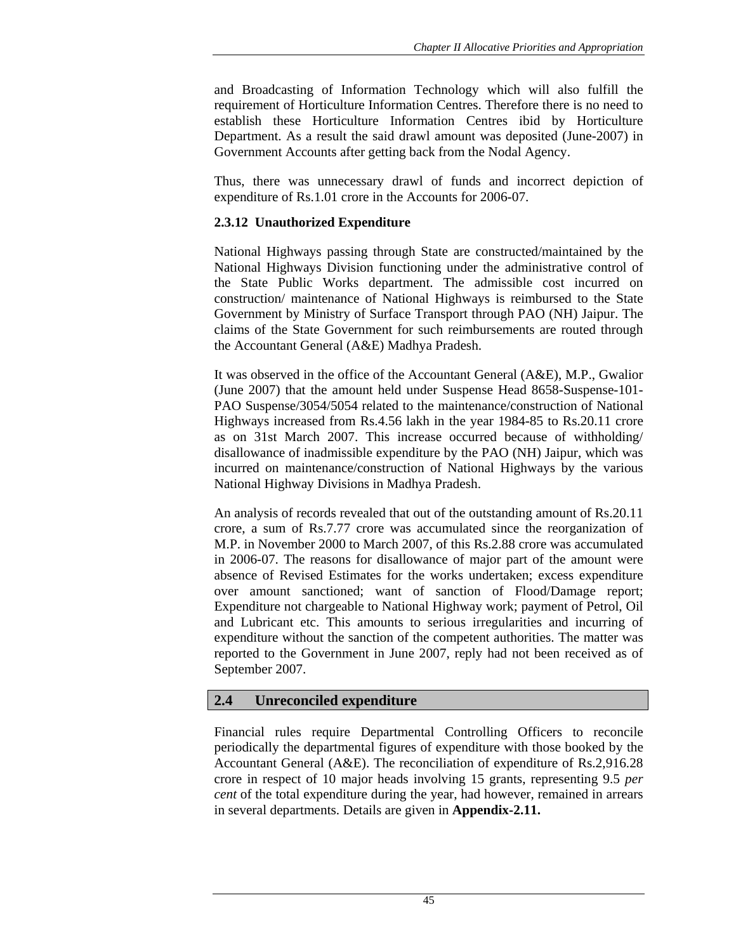and Broadcasting of Information Technology which will also fulfill the requirement of Horticulture Information Centres. Therefore there is no need to establish these Horticulture Information Centres ibid by Horticulture Department. As a result the said drawl amount was deposited (June-2007) in Government Accounts after getting back from the Nodal Agency.

Thus, there was unnecessary drawl of funds and incorrect depiction of expenditure of Rs.1.01 crore in the Accounts for 2006-07.

## **2.3.12 Unauthorized Expenditure**

National Highways passing through State are constructed/maintained by the National Highways Division functioning under the administrative control of the State Public Works department. The admissible cost incurred on construction/ maintenance of National Highways is reimbursed to the State Government by Ministry of Surface Transport through PAO (NH) Jaipur. The claims of the State Government for such reimbursements are routed through the Accountant General (A&E) Madhya Pradesh.

It was observed in the office of the Accountant General (A&E), M.P., Gwalior (June 2007) that the amount held under Suspense Head 8658-Suspense-101- PAO Suspense/3054/5054 related to the maintenance/construction of National Highways increased from Rs.4.56 lakh in the year 1984-85 to Rs.20.11 crore as on 31st March 2007. This increase occurred because of withholding/ disallowance of inadmissible expenditure by the PAO (NH) Jaipur, which was incurred on maintenance/construction of National Highways by the various National Highway Divisions in Madhya Pradesh.

An analysis of records revealed that out of the outstanding amount of Rs.20.11 crore, a sum of Rs.7.77 crore was accumulated since the reorganization of M.P. in November 2000 to March 2007, of this Rs.2.88 crore was accumulated in 2006-07. The reasons for disallowance of major part of the amount were absence of Revised Estimates for the works undertaken; excess expenditure over amount sanctioned; want of sanction of Flood/Damage report; Expenditure not chargeable to National Highway work; payment of Petrol, Oil and Lubricant etc. This amounts to serious irregularities and incurring of expenditure without the sanction of the competent authorities. The matter was reported to the Government in June 2007, reply had not been received as of September 2007.

# **2.4 Unreconciled expenditure**

Financial rules require Departmental Controlling Officers to reconcile periodically the departmental figures of expenditure with those booked by the Accountant General (A&E). The reconciliation of expenditure of Rs.2,916.28 crore in respect of 10 major heads involving 15 grants, representing 9.5 *per cent* of the total expenditure during the year, had however, remained in arrears in several departments. Details are given in **Appendix-2.11.**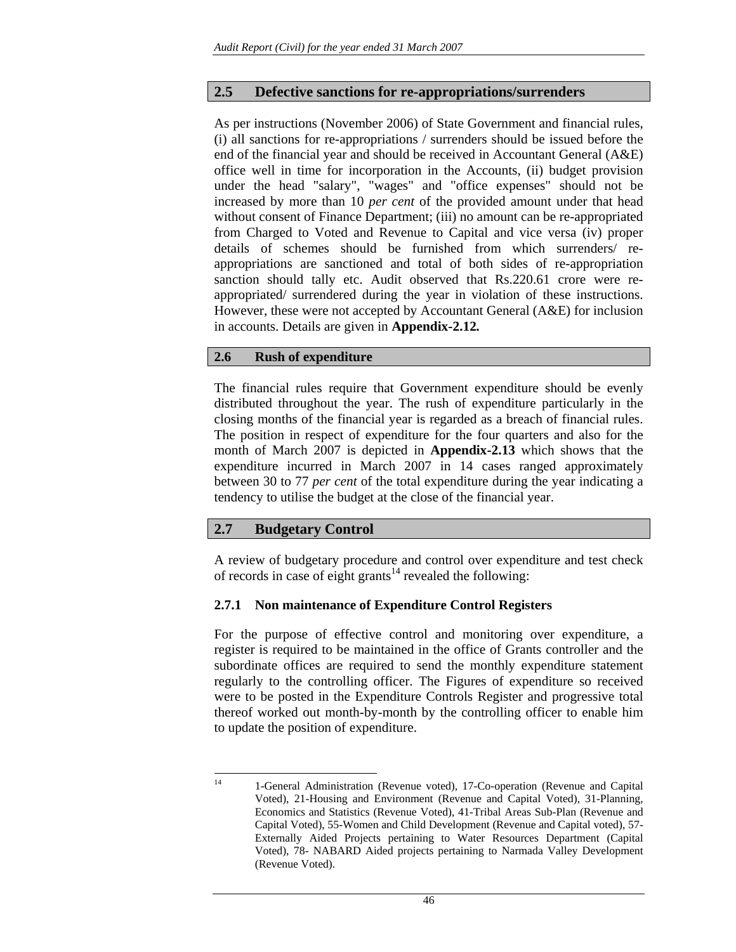### **2.5 Defective sanctions for re-appropriations/surrenders**

As per instructions (November 2006) of State Government and financial rules, (i) all sanctions for re-appropriations / surrenders should be issued before the end of the financial year and should be received in Accountant General (A&E) office well in time for incorporation in the Accounts, (ii) budget provision under the head "salary", "wages" and "office expenses" should not be increased by more than 10 *per cent* of the provided amount under that head without consent of Finance Department; (iii) no amount can be re-appropriated from Charged to Voted and Revenue to Capital and vice versa (iv) proper details of schemes should be furnished from which surrenders/ reappropriations are sanctioned and total of both sides of re-appropriation sanction should tally etc. Audit observed that Rs.220.61 crore were reappropriated/ surrendered during the year in violation of these instructions. However, these were not accepted by Accountant General (A&E) for inclusion in accounts. Details are given in **Appendix-2.12***.*

#### **2.6 Rush of expenditure**

The financial rules require that Government expenditure should be evenly distributed throughout the year. The rush of expenditure particularly in the closing months of the financial year is regarded as a breach of financial rules. The position in respect of expenditure for the four quarters and also for the month of March 2007 is depicted in **Appendix-2.13** which shows that the expenditure incurred in March 2007 in 14 cases ranged approximately between 30 to 77 *per cent* of the total expenditure during the year indicating a tendency to utilise the budget at the close of the financial year.

## **2.7 Budgetary Control**

A review of budgetary procedure and control over expenditure and test check of records in case of eight grants<sup>14</sup> revealed the following:

#### **2.7.1 Non maintenance of Expenditure Control Registers**

For the purpose of effective control and monitoring over expenditure, a register is required to be maintained in the office of Grants controller and the subordinate offices are required to send the monthly expenditure statement regularly to the controlling officer. The Figures of expenditure so received were to be posted in the Expenditure Controls Register and progressive total thereof worked out month-by-month by the controlling officer to enable him to update the position of expenditure.

 $14$ 14 1-General Administration (Revenue voted), 17-Co-operation (Revenue and Capital Voted), 21-Housing and Environment (Revenue and Capital Voted), 31-Planning, Economics and Statistics (Revenue Voted), 41-Tribal Areas Sub-Plan (Revenue and Capital Voted), 55-Women and Child Development (Revenue and Capital voted), 57- Externally Aided Projects pertaining to Water Resources Department (Capital Voted), 78- NABARD Aided projects pertaining to Narmada Valley Development (Revenue Voted).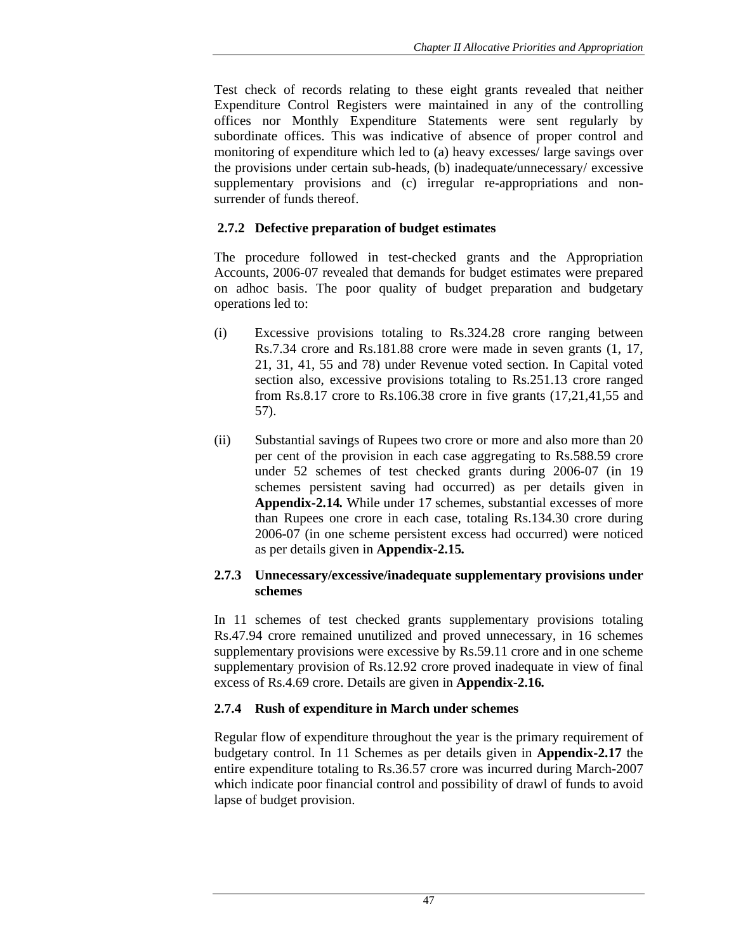Test check of records relating to these eight grants revealed that neither Expenditure Control Registers were maintained in any of the controlling offices nor Monthly Expenditure Statements were sent regularly by subordinate offices. This was indicative of absence of proper control and monitoring of expenditure which led to (a) heavy excesses/ large savings over the provisions under certain sub-heads, (b) inadequate/unnecessary/ excessive supplementary provisions and (c) irregular re-appropriations and nonsurrender of funds thereof.

# **2.7.2 Defective preparation of budget estimates**

The procedure followed in test-checked grants and the Appropriation Accounts, 2006-07 revealed that demands for budget estimates were prepared on adhoc basis. The poor quality of budget preparation and budgetary operations led to:

- (i) Excessive provisions totaling to Rs.324.28 crore ranging between Rs.7.34 crore and Rs.181.88 crore were made in seven grants (1, 17, 21, 31, 41, 55 and 78) under Revenue voted section. In Capital voted section also, excessive provisions totaling to Rs.251.13 crore ranged from Rs.8.17 crore to Rs.106.38 crore in five grants (17,21,41,55 and 57).
- (ii) Substantial savings of Rupees two crore or more and also more than 20 per cent of the provision in each case aggregating to Rs.588.59 crore under 52 schemes of test checked grants during 2006-07 (in 19 schemes persistent saving had occurred) as per details given in **Appendix-2.14***.* While under 17 schemes, substantial excesses of more than Rupees one crore in each case, totaling Rs.134.30 crore during 2006-07 (in one scheme persistent excess had occurred) were noticed as per details given in **Appendix-2.15***.*

## **2.7.3 Unnecessary/excessive/inadequate supplementary provisions under schemes**

In 11 schemes of test checked grants supplementary provisions totaling Rs.47.94 crore remained unutilized and proved unnecessary, in 16 schemes supplementary provisions were excessive by Rs.59.11 crore and in one scheme supplementary provision of Rs.12.92 crore proved inadequate in view of final excess of Rs.4.69 crore. Details are given in **Appendix-2.16***.*

# **2.7.4 Rush of expenditure in March under schemes**

Regular flow of expenditure throughout the year is the primary requirement of budgetary control. In 11 Schemes as per details given in **Appendix-2.17** the entire expenditure totaling to Rs.36.57 crore was incurred during March-2007 which indicate poor financial control and possibility of drawl of funds to avoid lapse of budget provision.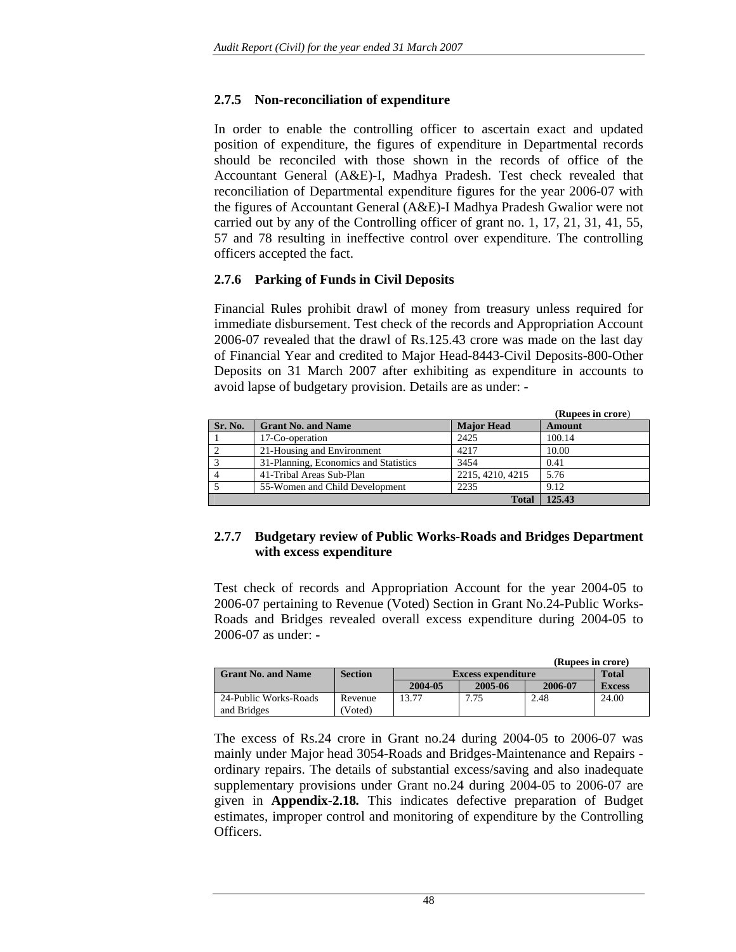### **2.7.5 Non-reconciliation of expenditure**

In order to enable the controlling officer to ascertain exact and updated position of expenditure, the figures of expenditure in Departmental records should be reconciled with those shown in the records of office of the Accountant General (A&E)-I, Madhya Pradesh. Test check revealed that reconciliation of Departmental expenditure figures for the year 2006-07 with the figures of Accountant General (A&E)-I Madhya Pradesh Gwalior were not carried out by any of the Controlling officer of grant no. 1, 17, 21, 31, 41, 55, 57 and 78 resulting in ineffective control over expenditure. The controlling officers accepted the fact.

#### **2.7.6 Parking of Funds in Civil Deposits**

Financial Rules prohibit drawl of money from treasury unless required for immediate disbursement. Test check of the records and Appropriation Account 2006-07 revealed that the drawl of Rs.125.43 crore was made on the last day of Financial Year and credited to Major Head-8443-Civil Deposits-800-Other Deposits on 31 March 2007 after exhibiting as expenditure in accounts to avoid lapse of budgetary provision. Details are as under: -

|         |                                       |                   | (Rupees in crore) |
|---------|---------------------------------------|-------------------|-------------------|
| Sr. No. | <b>Grant No. and Name</b>             | <b>Major Head</b> | <b>Amount</b>     |
|         | 17-Co-operation                       | 2425              | 100.14            |
|         | 21-Housing and Environment            | 4217              | 10.00             |
| 3       | 31-Planning, Economics and Statistics | 3454              | 0.41              |
| 4       | 41-Tribal Areas Sub-Plan              | 2215, 4210, 4215  | 5.76              |
|         | 55-Women and Child Development        | 2235              | 9.12              |
|         |                                       | <b>Total</b>      | 125.43            |

#### **2.7.7 Budgetary review of Public Works-Roads and Bridges Department with excess expenditure**

Test check of records and Appropriation Account for the year 2004-05 to 2006-07 pertaining to Revenue (Voted) Section in Grant No.24-Public Works-Roads and Bridges revealed overall excess expenditure during 2004-05 to 2006-07 as under: -

|                           |                | (Rupees in crore)         |         |         |               |  |
|---------------------------|----------------|---------------------------|---------|---------|---------------|--|
| <b>Grant No. and Name</b> | <b>Section</b> | <b>Excess expenditure</b> |         |         | <b>Total</b>  |  |
|                           |                | 2004-05                   | 2005-06 | 2006-07 | <b>Excess</b> |  |
| 24-Public Works-Roads     | Revenue        | 13.77                     | 7.75    | 2.48    | 24.00         |  |
| and Bridges               | Voted)         |                           |         |         |               |  |

The excess of Rs.24 crore in Grant no.24 during 2004-05 to 2006-07 was mainly under Major head 3054-Roads and Bridges-Maintenance and Repairs ordinary repairs. The details of substantial excess/saving and also inadequate supplementary provisions under Grant no.24 during 2004-05 to 2006-07 are given in **Appendix-2.18***.* This indicates defective preparation of Budget estimates, improper control and monitoring of expenditure by the Controlling Officers.